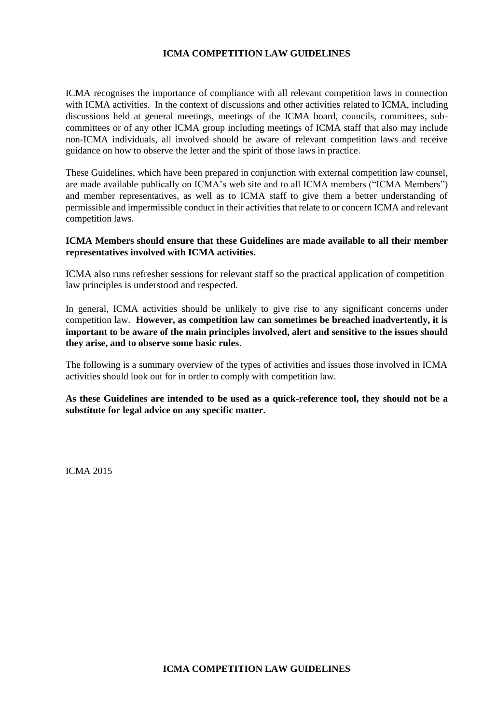## **ICMA COMPETITION LAW GUIDELINES**

ICMA recognises the importance of compliance with all relevant competition laws in connection with ICMA activities. In the context of discussions and other activities related to ICMA, including discussions held at general meetings, meetings of the ICMA board, councils, committees, subcommittees or of any other ICMA group including meetings of ICMA staff that also may include non-ICMA individuals, all involved should be aware of relevant competition laws and receive guidance on how to observe the letter and the spirit of those laws in practice.

These Guidelines, which have been prepared in conjunction with external competition law counsel, are made available publically on ICMA's web site and to all ICMA members ("ICMA Members") and member representatives, as well as to ICMA staff to give them a better understanding of permissible and impermissible conduct in their activities that relate to or concern ICMA and relevant competition laws.

#### **ICMA Members should ensure that these Guidelines are made available to all their member representatives involved with ICMA activities.**

ICMA also runs refresher sessions for relevant staff so the practical application of competition law principles is understood and respected.

In general, ICMA activities should be unlikely to give rise to any significant concerns under competition law. **However, as competition law can sometimes be breached inadvertently, it is important to be aware of the main principles involved, alert and sensitive to the issues should they arise, and to observe some basic rules**.

The following is a summary overview of the types of activities and issues those involved in ICMA activities should look out for in order to comply with competition law.

**As these Guidelines are intended to be used as a quick-reference tool, they should not be a substitute for legal advice on any specific matter.** 

ICMA 2015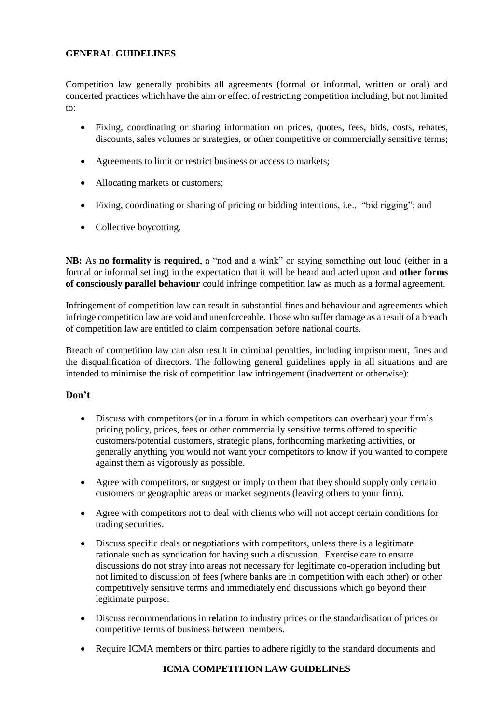# **GENERAL GUIDELINES**

Competition law generally prohibits all agreements (formal or informal, written or oral) and concerted practices which have the aim or effect of restricting competition including, but not limited to:

- Fixing, coordinating or sharing information on prices, quotes, fees, bids, costs, rebates, discounts, sales volumes or strategies, or other competitive or commercially sensitive terms;
- Agreements to limit or restrict business or access to markets;
- Allocating markets or customers;
- Fixing, coordinating or sharing of pricing or bidding intentions, i.e., "bid rigging"; and
- Collective boycotting.

**NB:** As **no formality is required**, a "nod and a wink" or saying something out loud (either in a formal or informal setting) in the expectation that it will be heard and acted upon and **other forms of consciously parallel behaviour** could infringe competition law as much as a formal agreement.

Infringement of competition law can result in substantial fines and behaviour and agreements which infringe competition law are void and unenforceable. Those who suffer damage as a result of a breach of competition law are entitled to claim compensation before national courts.

Breach of competition law can also result in criminal penalties, including imprisonment, fines and the disqualification of directors. The following general guidelines apply in all situations and are intended to minimise the risk of competition law infringement (inadvertent or otherwise):

# **Don't**

- Discuss with competitors (or in a forum in which competitors can overhear) your firm's pricing policy, prices, fees or other commercially sensitive terms offered to specific customers/potential customers, strategic plans, forthcoming marketing activities, or generally anything you would not want your competitors to know if you wanted to compete against them as vigorously as possible.
- Agree with competitors, or suggest or imply to them that they should supply only certain customers or geographic areas or market segments (leaving others to your firm).
- Agree with competitors not to deal with clients who will not accept certain conditions for trading securities.
- Discuss specific deals or negotiations with competitors, unless there is a legitimate rationale such as syndication for having such a discussion. Exercise care to ensure discussions do not stray into areas not necessary for legitimate co-operation including but not limited to discussion of fees (where banks are in competition with each other) or other competitively sensitive terms and immediately end discussions which go beyond their legitimate purpose.
- Discuss recommendations in r**e**lation to industry prices or the standardisation of prices or competitive terms of business between members.
- Require ICMA members or third parties to adhere rigidly to the standard documents and

# **ICMA COMPETITION LAW GUIDELINES**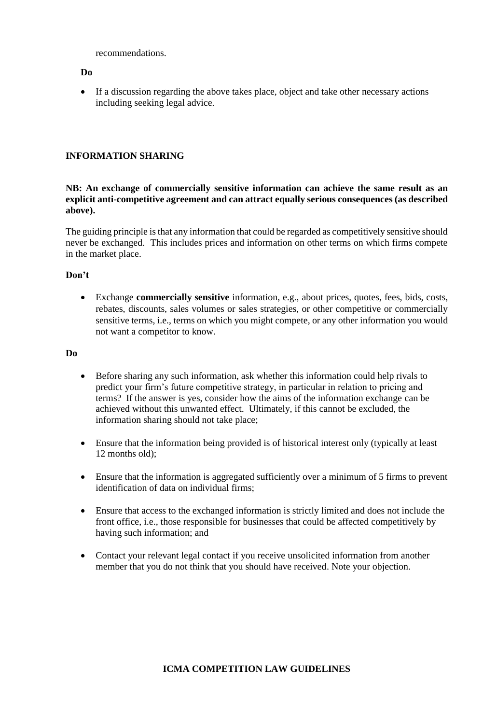recommendations.

#### **Do**

 If a discussion regarding the above takes place, object and take other necessary actions including seeking legal advice.

## **INFORMATION SHARING**

#### **NB: An exchange of commercially sensitive information can achieve the same result as an explicit anti-competitive agreement and can attract equally serious consequences (as described above).**

The guiding principle is that any information that could be regarded as competitively sensitive should never be exchanged. This includes prices and information on other terms on which firms compete in the market place.

#### **Don't**

 Exchange **commercially sensitive** information, e.g., about prices, quotes, fees, bids, costs, rebates, discounts, sales volumes or sales strategies, or other competitive or commercially sensitive terms, i.e., terms on which you might compete, or any other information you would not want a competitor to know.

### **Do**

- Before sharing any such information, ask whether this information could help rivals to predict your firm's future competitive strategy, in particular in relation to pricing and terms? If the answer is yes, consider how the aims of the information exchange can be achieved without this unwanted effect. Ultimately, if this cannot be excluded, the information sharing should not take place;
- Ensure that the information being provided is of historical interest only (typically at least 12 months old);
- Ensure that the information is aggregated sufficiently over a minimum of 5 firms to prevent identification of data on individual firms;
- Ensure that access to the exchanged information is strictly limited and does not include the front office, i.e., those responsible for businesses that could be affected competitively by having such information; and
- Contact your relevant legal contact if you receive unsolicited information from another member that you do not think that you should have received. Note your objection.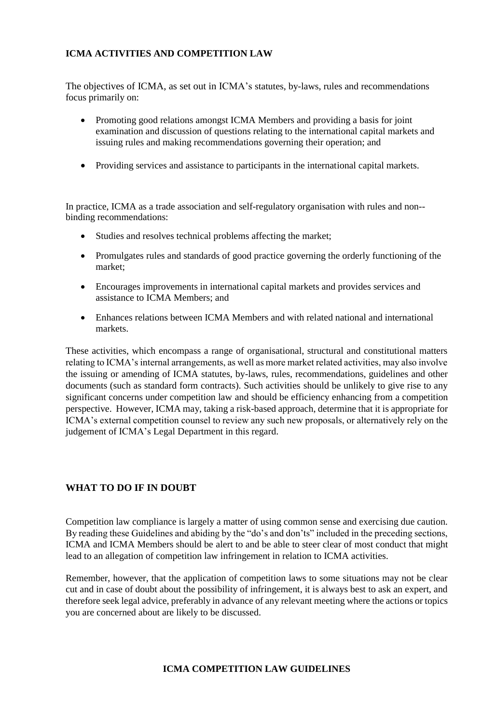# **ICMA ACTIVITIES AND COMPETITION LAW**

The objectives of ICMA, as set out in ICMA's statutes, by-laws, rules and recommendations focus primarily on:

- Promoting good relations amongst ICMA Members and providing a basis for joint examination and discussion of questions relating to the international capital markets and issuing rules and making recommendations governing their operation; and
- Providing services and assistance to participants in the international capital markets.

In practice, ICMA as a trade association and self-regulatory organisation with rules and non- binding recommendations:

- Studies and resolves technical problems affecting the market;
- Promulgates rules and standards of good practice governing the orderly functioning of the market;
- Encourages improvements in international capital markets and provides services and assistance to ICMA Members; and
- Enhances relations between ICMA Members and with related national and international markets.

These activities, which encompass a range of organisational, structural and constitutional matters relating to ICMA's internal arrangements, as well as more market related activities, may also involve the issuing or amending of ICMA statutes, by-laws, rules, recommendations, guidelines and other documents (such as standard form contracts). Such activities should be unlikely to give rise to any significant concerns under competition law and should be efficiency enhancing from a competition perspective. However, ICMA may, taking a risk-based approach, determine that it is appropriate for ICMA's external competition counsel to review any such new proposals, or alternatively rely on the judgement of ICMA's Legal Department in this regard.

# **WHAT TO DO IF IN DOUBT**

Competition law compliance is largely a matter of using common sense and exercising due caution. By reading these Guidelines and abiding by the "do's and don'ts" included in the preceding sections, ICMA and ICMA Members should be alert to and be able to steer clear of most conduct that might lead to an allegation of competition law infringement in relation to ICMA activities.

Remember, however, that the application of competition laws to some situations may not be clear cut and in case of doubt about the possibility of infringement, it is always best to ask an expert, and therefore seek legal advice, preferably in advance of any relevant meeting where the actions or topics you are concerned about are likely to be discussed.

## **ICMA COMPETITION LAW GUIDELINES**